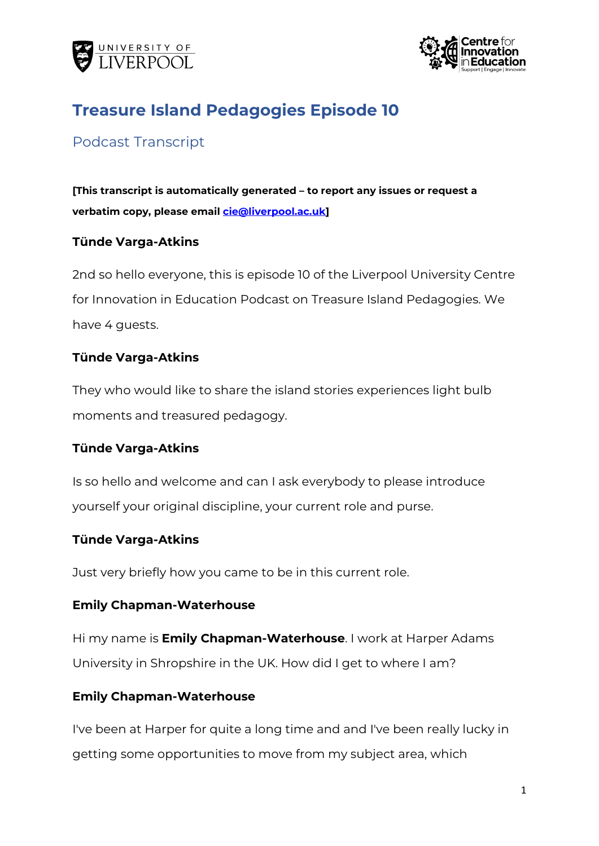



# **Treasure Island Pedagogies Episode 10**

# Podcast Transcript

**[This transcript is automatically generated – to report any issues or request a verbatim copy, please email [cie@liverpool.ac.uk\]](mailto:CIE@LIVERPOOL.AC.UK)**

## **Tünde Varga-Atkins**

2nd so hello everyone, this is episode 10 of the Liverpool University Centre for Innovation in Education Podcast on Treasure Island Pedagogies. We have 4 quests.

## **Tünde Varga-Atkins**

They who would like to share the island stories experiences light bulb moments and treasured pedagogy.

## **Tünde Varga-Atkins**

Is so hello and welcome and can I ask everybody to please introduce yourself your original discipline, your current role and purse.

## **Tünde Varga-Atkins**

Just very briefly how you came to be in this current role.

## **Emily Chapman-Waterhouse**

Hi my name is **Emily Chapman-Waterhouse**. I work at Harper Adams University in Shropshire in the UK. How did I get to where I am?

## **Emily Chapman-Waterhouse**

I've been at Harper for quite a long time and and I've been really lucky in getting some opportunities to move from my subject area, which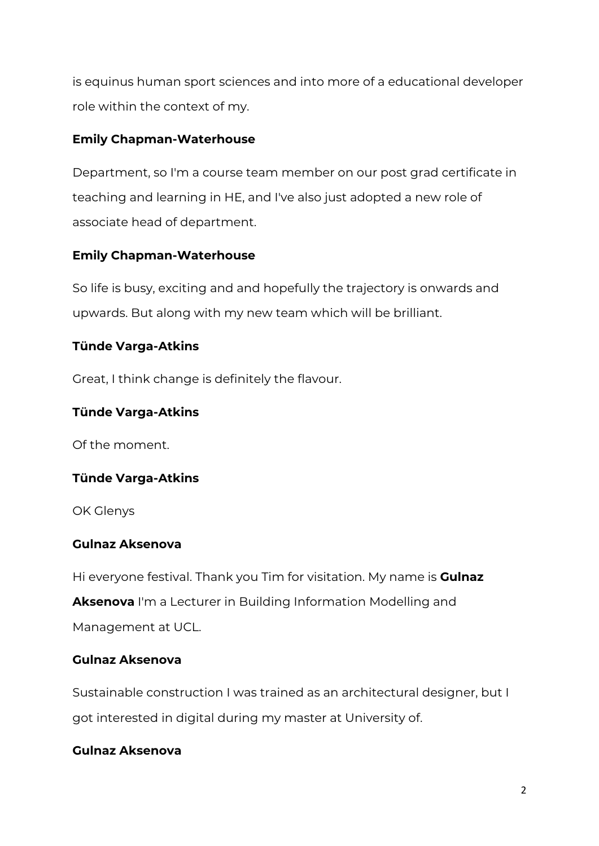is equinus human sport sciences and into more of a educational developer role within the context of my.

# **Emily Chapman-Waterhouse**

Department, so I'm a course team member on our post grad certificate in teaching and learning in HE, and I've also just adopted a new role of associate head of department.

# **Emily Chapman-Waterhouse**

So life is busy, exciting and and hopefully the trajectory is onwards and upwards. But along with my new team which will be brilliant.

# **Tünde Varga-Atkins**

Great, I think change is definitely the flavour.

# **Tünde Varga-Atkins**

Of the moment.

# **Tünde Varga-Atkins**

OK Glenys

# **Gulnaz Aksenova**

Hi everyone festival. Thank you Tim for visitation. My name is **Gulnaz Aksenova** I'm a Lecturer in Building Information Modelling and Management at UCL.

# **Gulnaz Aksenova**

Sustainable construction I was trained as an architectural designer, but I got interested in digital during my master at University of.

# **Gulnaz Aksenova**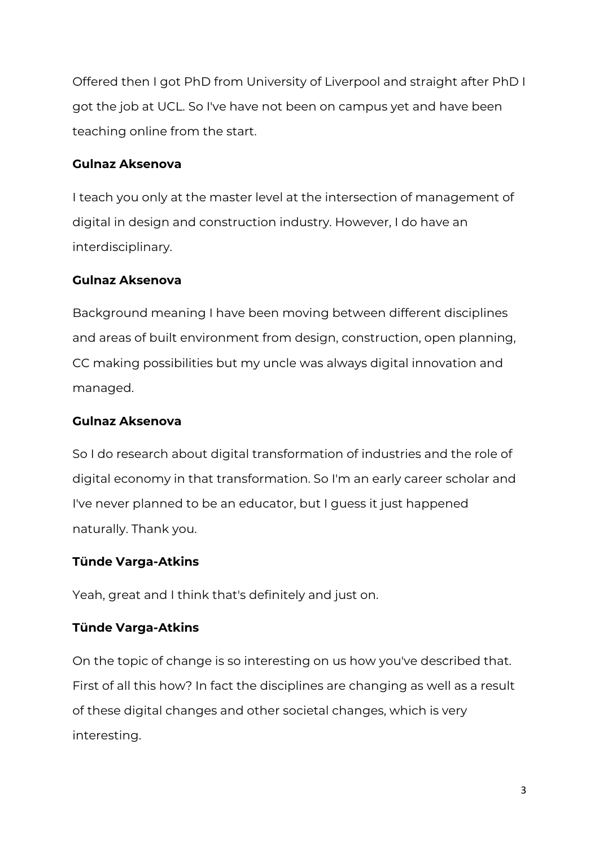Offered then I got PhD from University of Liverpool and straight after PhD I got the job at UCL. So I've have not been on campus yet and have been teaching online from the start.

## **Gulnaz Aksenova**

I teach you only at the master level at the intersection of management of digital in design and construction industry. However, I do have an interdisciplinary.

## **Gulnaz Aksenova**

Background meaning I have been moving between different disciplines and areas of built environment from design, construction, open planning, CC making possibilities but my uncle was always digital innovation and managed.

## **Gulnaz Aksenova**

So I do research about digital transformation of industries and the role of digital economy in that transformation. So I'm an early career scholar and I've never planned to be an educator, but I guess it just happened naturally. Thank you.

# **Tünde Varga-Atkins**

Yeah, great and I think that's definitely and just on.

# **Tünde Varga-Atkins**

On the topic of change is so interesting on us how you've described that. First of all this how? In fact the disciplines are changing as well as a result of these digital changes and other societal changes, which is very interesting.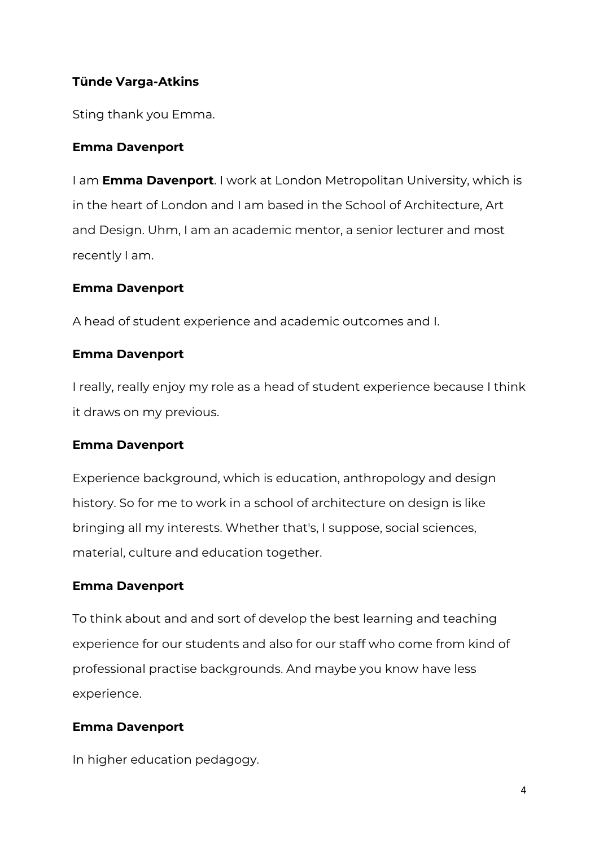# **Tünde Varga-Atkins**

Sting thank you Emma.

## **Emma Davenport**

I am **Emma Davenport**. I work at London Metropolitan University, which is in the heart of London and I am based in the School of Architecture, Art and Design. Uhm, I am an academic mentor, a senior lecturer and most recently I am.

## **Emma Davenport**

A head of student experience and academic outcomes and I.

## **Emma Davenport**

I really, really enjoy my role as a head of student experience because I think it draws on my previous.

## **Emma Davenport**

Experience background, which is education, anthropology and design history. So for me to work in a school of architecture on design is like bringing all my interests. Whether that's, I suppose, social sciences, material, culture and education together.

## **Emma Davenport**

To think about and and sort of develop the best learning and teaching experience for our students and also for our staff who come from kind of professional practise backgrounds. And maybe you know have less experience.

# **Emma Davenport**

In higher education pedagogy.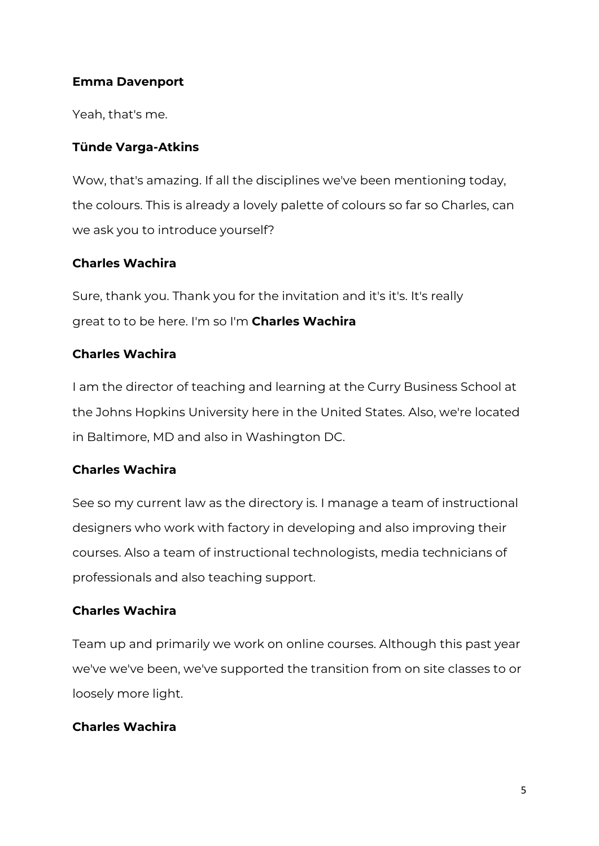## **Emma Davenport**

Yeah, that's me.

## **Tünde Varga-Atkins**

Wow, that's amazing. If all the disciplines we've been mentioning today, the colours. This is already a lovely palette of colours so far so Charles, can we ask you to introduce yourself?

# **Charles Wachira**

Sure, thank you. Thank you for the invitation and it's it's. It's really great to to be here. I'm so I'm **Charles Wachira**

# **Charles Wachira**

I am the director of teaching and learning at the Curry Business School at the Johns Hopkins University here in the United States. Also, we're located in Baltimore, MD and also in Washington DC.

# **Charles Wachira**

See so my current law as the directory is. I manage a team of instructional designers who work with factory in developing and also improving their courses. Also a team of instructional technologists, media technicians of professionals and also teaching support.

# **Charles Wachira**

Team up and primarily we work on online courses. Although this past year we've we've been, we've supported the transition from on site classes to or loosely more light.

# **Charles Wachira**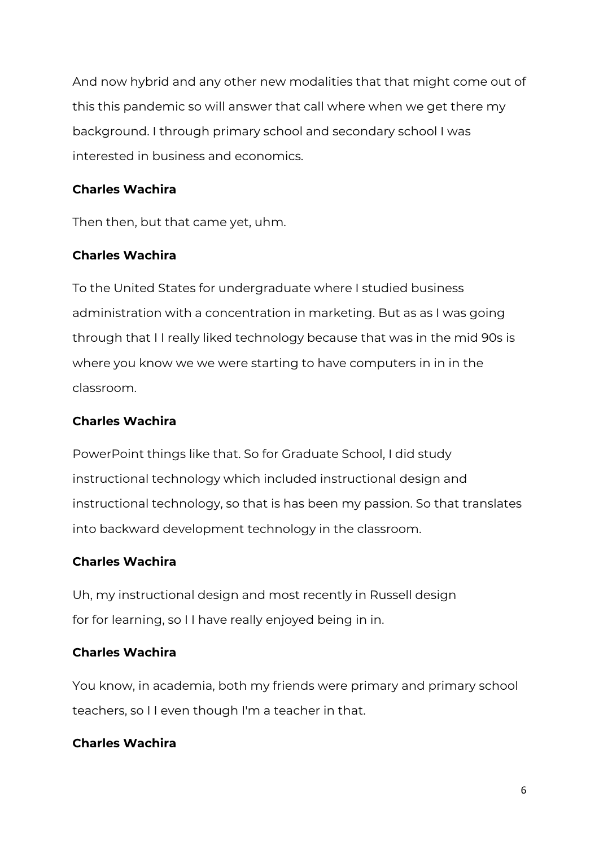And now hybrid and any other new modalities that that might come out of this this pandemic so will answer that call where when we get there my background. I through primary school and secondary school I was interested in business and economics.

# **Charles Wachira**

Then then, but that came yet, uhm.

# **Charles Wachira**

To the United States for undergraduate where I studied business administration with a concentration in marketing. But as as I was going through that I I really liked technology because that was in the mid 90s is where you know we we were starting to have computers in in in the classroom.

# **Charles Wachira**

PowerPoint things like that. So for Graduate School, I did study instructional technology which included instructional design and instructional technology, so that is has been my passion. So that translates into backward development technology in the classroom.

# **Charles Wachira**

Uh, my instructional design and most recently in Russell design for for learning, so I I have really enjoyed being in in.

# **Charles Wachira**

You know, in academia, both my friends were primary and primary school teachers, so I I even though I'm a teacher in that.

# **Charles Wachira**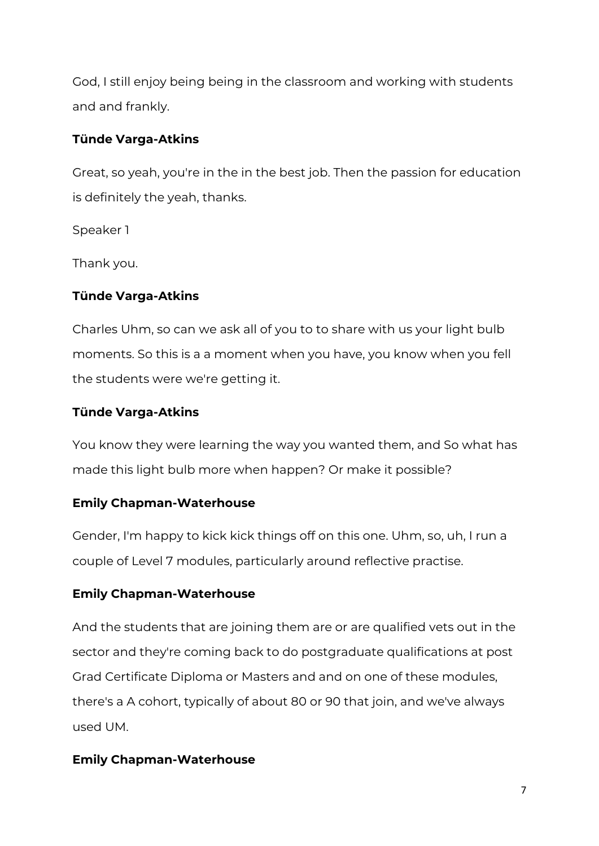God, I still enjoy being being in the classroom and working with students and and frankly.

## **Tünde Varga-Atkins**

Great, so yeah, you're in the in the best job. Then the passion for education is definitely the yeah, thanks.

Speaker 1

Thank you.

# **Tünde Varga-Atkins**

Charles Uhm, so can we ask all of you to to share with us your light bulb moments. So this is a a moment when you have, you know when you fell the students were we're getting it.

## **Tünde Varga-Atkins**

You know they were learning the way you wanted them, and So what has made this light bulb more when happen? Or make it possible?

# **Emily Chapman-Waterhouse**

Gender, I'm happy to kick kick things off on this one. Uhm, so, uh, I run a couple of Level 7 modules, particularly around reflective practise.

# **Emily Chapman-Waterhouse**

And the students that are joining them are or are qualified vets out in the sector and they're coming back to do postgraduate qualifications at post Grad Certificate Diploma or Masters and and on one of these modules, there's a A cohort, typically of about 80 or 90 that join, and we've always used UM.

# **Emily Chapman-Waterhouse**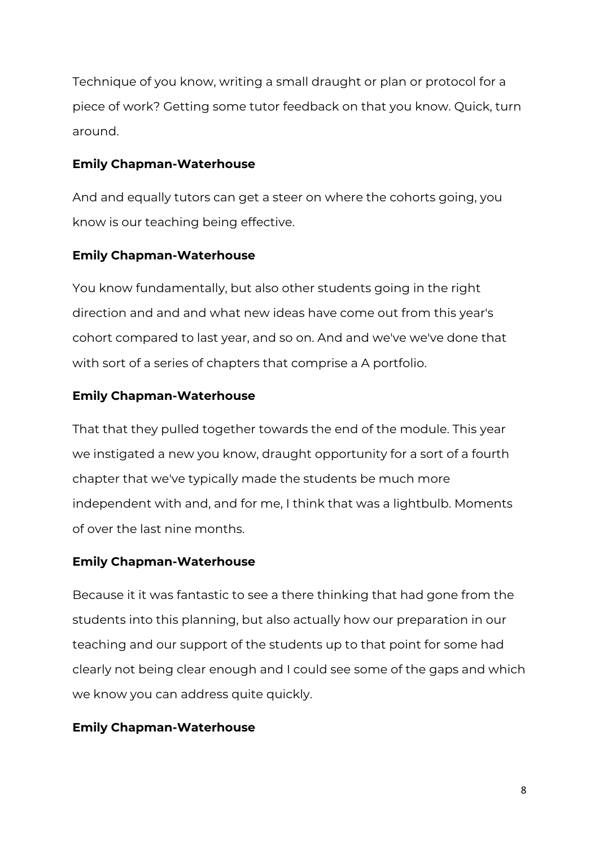Technique of you know, writing a small draught or plan or protocol for a piece of work? Getting some tutor feedback on that you know. Quick, turn around.

## **Emily Chapman-Waterhouse**

And and equally tutors can get a steer on where the cohorts going, you know is our teaching being effective.

# **Emily Chapman-Waterhouse**

You know fundamentally, but also other students going in the right direction and and and what new ideas have come out from this year's cohort compared to last year, and so on. And and we've we've done that with sort of a series of chapters that comprise a A portfolio.

# **Emily Chapman-Waterhouse**

That that they pulled together towards the end of the module. This year we instigated a new you know, draught opportunity for a sort of a fourth chapter that we've typically made the students be much more independent with and, and for me, I think that was a lightbulb. Moments of over the last nine months.

# **Emily Chapman-Waterhouse**

Because it it was fantastic to see a there thinking that had gone from the students into this planning, but also actually how our preparation in our teaching and our support of the students up to that point for some had clearly not being clear enough and I could see some of the gaps and which we know you can address quite quickly.

# **Emily Chapman-Waterhouse**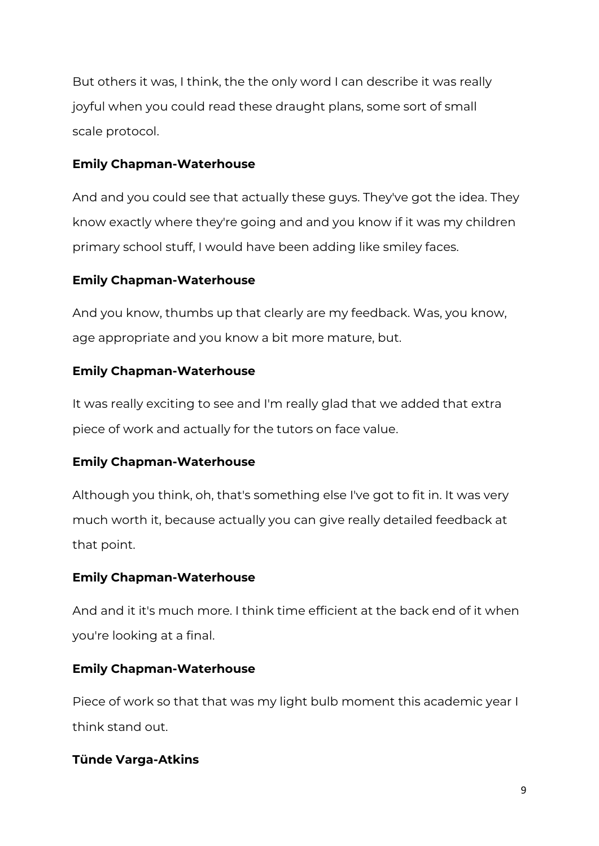But others it was, I think, the the only word I can describe it was really joyful when you could read these draught plans, some sort of small scale protocol.

## **Emily Chapman-Waterhouse**

And and you could see that actually these guys. They've got the idea. They know exactly where they're going and and you know if it was my children primary school stuff, I would have been adding like smiley faces.

# **Emily Chapman-Waterhouse**

And you know, thumbs up that clearly are my feedback. Was, you know, age appropriate and you know a bit more mature, but.

## **Emily Chapman-Waterhouse**

It was really exciting to see and I'm really glad that we added that extra piece of work and actually for the tutors on face value.

# **Emily Chapman-Waterhouse**

Although you think, oh, that's something else I've got to fit in. It was very much worth it, because actually you can give really detailed feedback at that point.

## **Emily Chapman-Waterhouse**

And and it it's much more. I think time efficient at the back end of it when you're looking at a final.

# **Emily Chapman-Waterhouse**

Piece of work so that that was my light bulb moment this academic year I think stand out.

# **Tünde Varga-Atkins**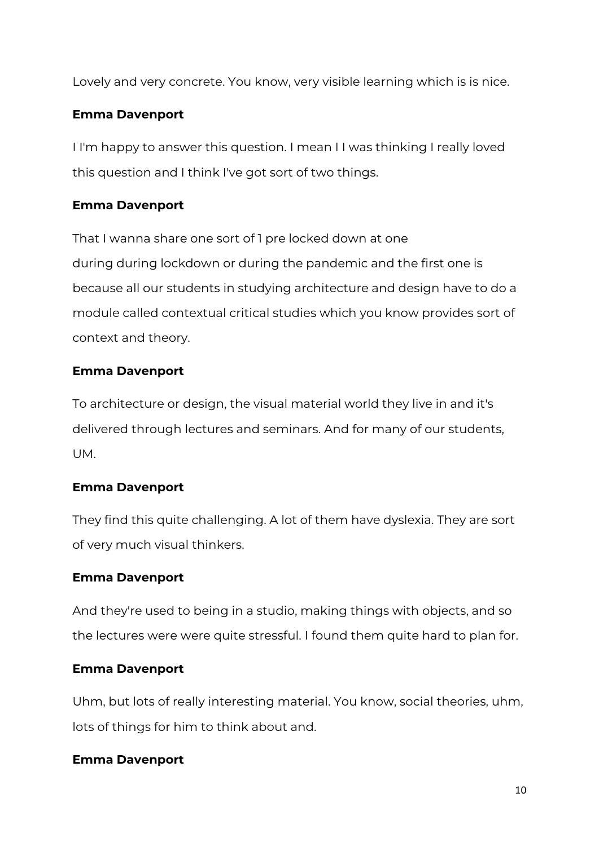Lovely and very concrete. You know, very visible learning which is is nice.

# **Emma Davenport**

I I'm happy to answer this question. I mean I I was thinking I really loved this question and I think I've got sort of two things.

# **Emma Davenport**

That I wanna share one sort of 1 pre locked down at one during during lockdown or during the pandemic and the first one is because all our students in studying architecture and design have to do a module called contextual critical studies which you know provides sort of context and theory.

## **Emma Davenport**

To architecture or design, the visual material world they live in and it's delivered through lectures and seminars. And for many of our students, UM.

# **Emma Davenport**

They find this quite challenging. A lot of them have dyslexia. They are sort of very much visual thinkers.

## **Emma Davenport**

And they're used to being in a studio, making things with objects, and so the lectures were were quite stressful. I found them quite hard to plan for.

# **Emma Davenport**

Uhm, but lots of really interesting material. You know, social theories, uhm, lots of things for him to think about and.

## **Emma Davenport**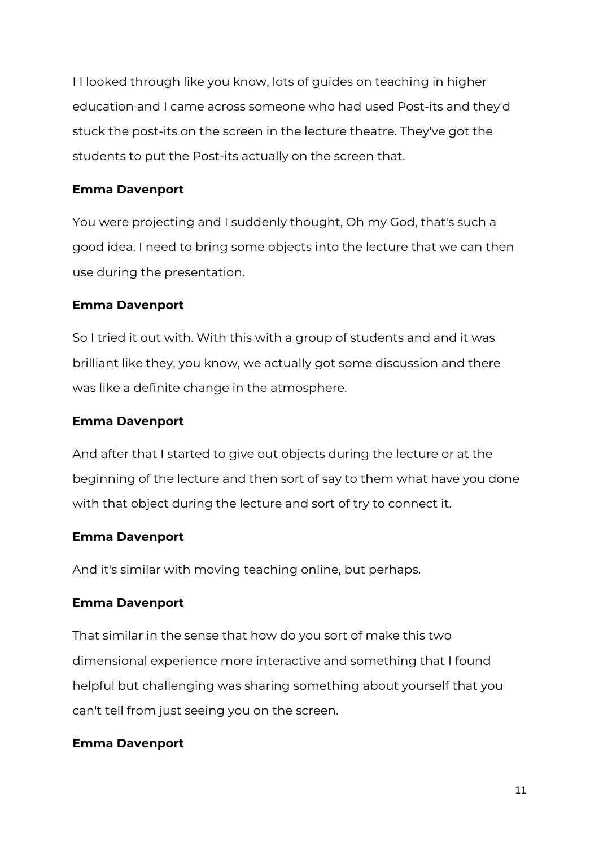I I looked through like you know, lots of guides on teaching in higher education and I came across someone who had used Post-its and they'd stuck the post-its on the screen in the lecture theatre. They've got the students to put the Post-its actually on the screen that.

## **Emma Davenport**

You were projecting and I suddenly thought, Oh my God, that's such a good idea. I need to bring some objects into the lecture that we can then use during the presentation.

## **Emma Davenport**

So I tried it out with. With this with a group of students and and it was brilliant like they, you know, we actually got some discussion and there was like a definite change in the atmosphere.

## **Emma Davenport**

And after that I started to give out objects during the lecture or at the beginning of the lecture and then sort of say to them what have you done with that object during the lecture and sort of try to connect it.

# **Emma Davenport**

And it's similar with moving teaching online, but perhaps.

# **Emma Davenport**

That similar in the sense that how do you sort of make this two dimensional experience more interactive and something that I found helpful but challenging was sharing something about yourself that you can't tell from just seeing you on the screen.

## **Emma Davenport**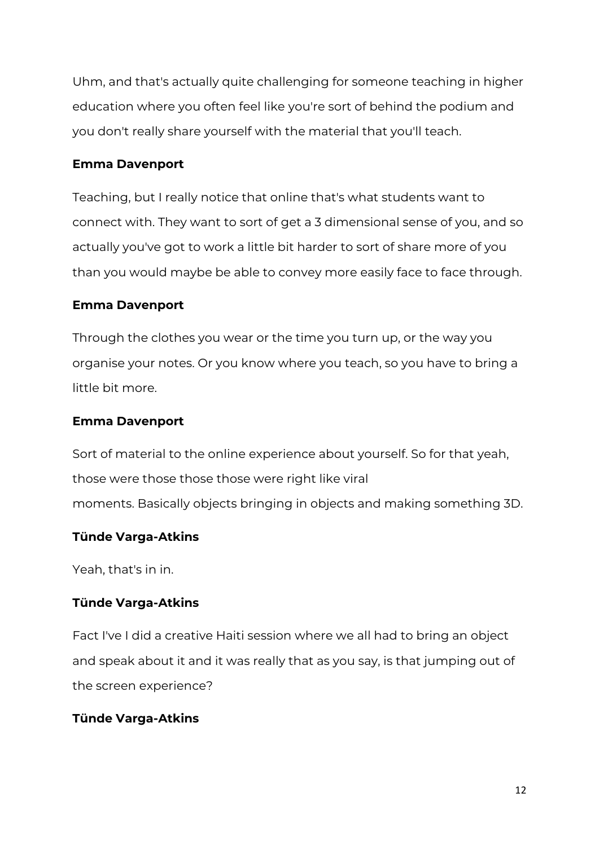Uhm, and that's actually quite challenging for someone teaching in higher education where you often feel like you're sort of behind the podium and you don't really share yourself with the material that you'll teach.

#### **Emma Davenport**

Teaching, but I really notice that online that's what students want to connect with. They want to sort of get a 3 dimensional sense of you, and so actually you've got to work a little bit harder to sort of share more of you than you would maybe be able to convey more easily face to face through.

#### **Emma Davenport**

Through the clothes you wear or the time you turn up, or the way you organise your notes. Or you know where you teach, so you have to bring a little bit more.

#### **Emma Davenport**

Sort of material to the online experience about yourself. So for that yeah, those were those those those were right like viral moments. Basically objects bringing in objects and making something 3D.

## **Tünde Varga-Atkins**

Yeah, that's in in.

## **Tünde Varga-Atkins**

Fact I've I did a creative Haiti session where we all had to bring an object and speak about it and it was really that as you say, is that jumping out of the screen experience?

## **Tünde Varga-Atkins**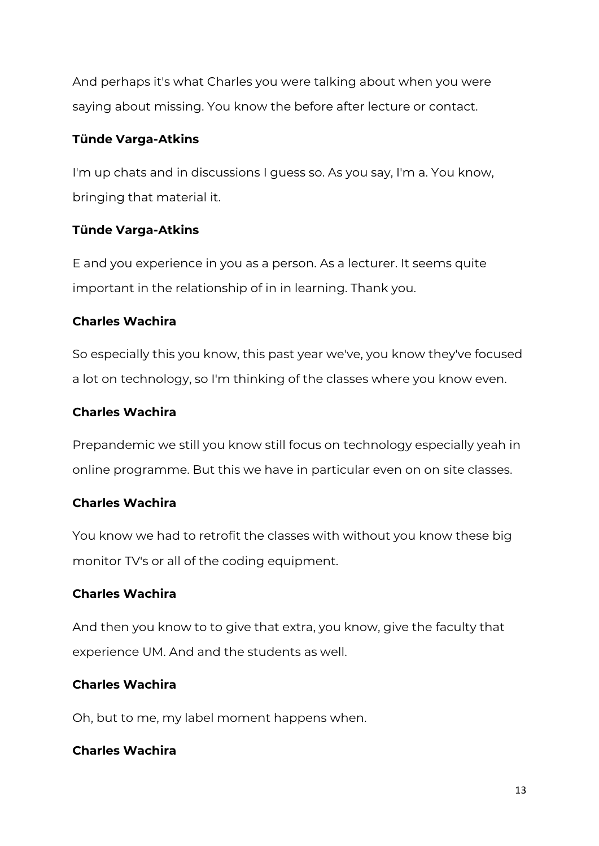And perhaps it's what Charles you were talking about when you were saying about missing. You know the before after lecture or contact.

## **Tünde Varga-Atkins**

I'm up chats and in discussions I guess so. As you say, I'm a. You know, bringing that material it.

## **Tünde Varga-Atkins**

E and you experience in you as a person. As a lecturer. It seems quite important in the relationship of in in learning. Thank you.

## **Charles Wachira**

So especially this you know, this past year we've, you know they've focused a lot on technology, so I'm thinking of the classes where you know even.

## **Charles Wachira**

Prepandemic we still you know still focus on technology especially yeah in online programme. But this we have in particular even on on site classes.

## **Charles Wachira**

You know we had to retrofit the classes with without you know these big monitor TV's or all of the coding equipment.

# **Charles Wachira**

And then you know to to give that extra, you know, give the faculty that experience UM. And and the students as well.

# **Charles Wachira**

Oh, but to me, my label moment happens when.

## **Charles Wachira**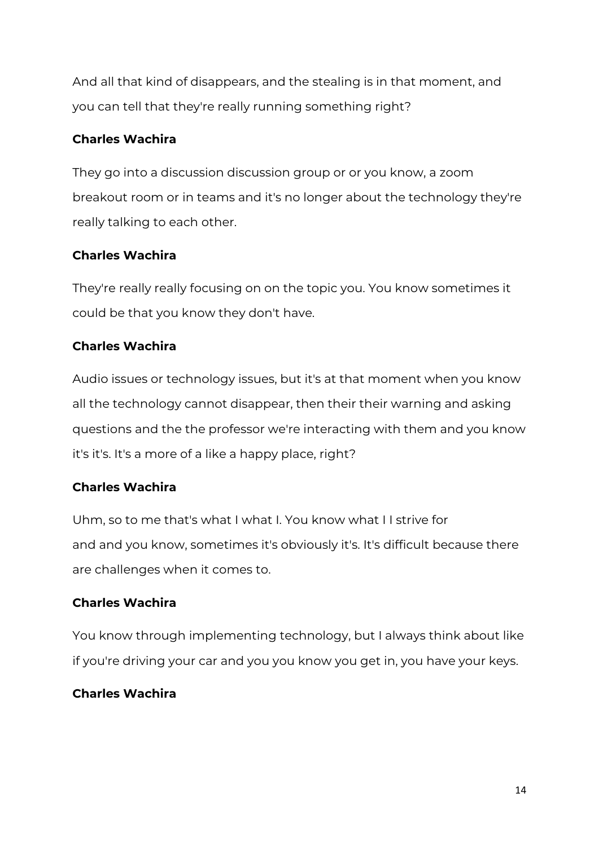And all that kind of disappears, and the stealing is in that moment, and you can tell that they're really running something right?

# **Charles Wachira**

They go into a discussion discussion group or or you know, a zoom breakout room or in teams and it's no longer about the technology they're really talking to each other.

# **Charles Wachira**

They're really really focusing on on the topic you. You know sometimes it could be that you know they don't have.

# **Charles Wachira**

Audio issues or technology issues, but it's at that moment when you know all the technology cannot disappear, then their their warning and asking questions and the the professor we're interacting with them and you know it's it's. It's a more of a like a happy place, right?

# **Charles Wachira**

Uhm, so to me that's what I what I. You know what I I strive for and and you know, sometimes it's obviously it's. It's difficult because there are challenges when it comes to.

# **Charles Wachira**

You know through implementing technology, but I always think about like if you're driving your car and you you know you get in, you have your keys.

# **Charles Wachira**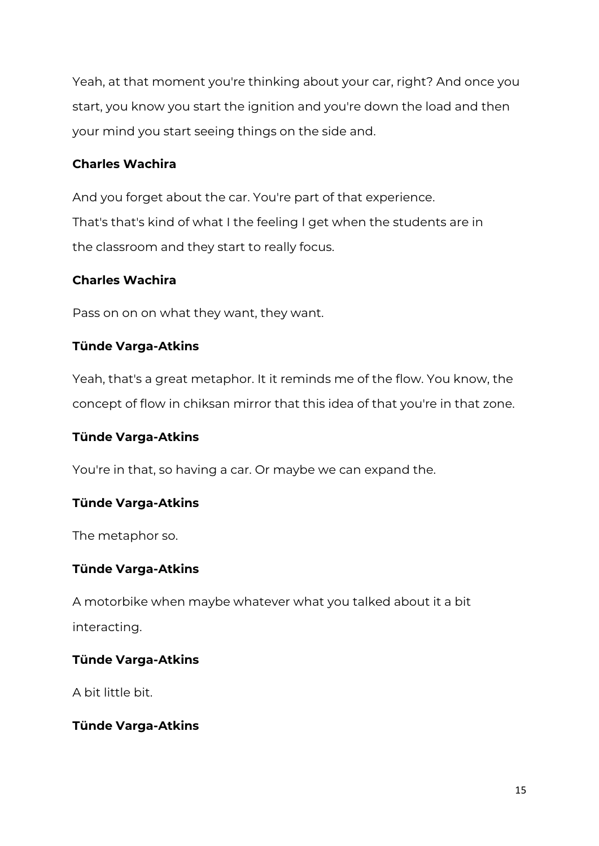Yeah, at that moment you're thinking about your car, right? And once you start, you know you start the ignition and you're down the load and then your mind you start seeing things on the side and.

## **Charles Wachira**

And you forget about the car. You're part of that experience. That's that's kind of what I the feeling I get when the students are in the classroom and they start to really focus.

# **Charles Wachira**

Pass on on on what they want, they want.

# **Tünde Varga-Atkins**

Yeah, that's a great metaphor. It it reminds me of the flow. You know, the concept of flow in chiksan mirror that this idea of that you're in that zone.

## **Tünde Varga-Atkins**

You're in that, so having a car. Or maybe we can expand the.

## **Tünde Varga-Atkins**

The metaphor so.

## **Tünde Varga-Atkins**

A motorbike when maybe whatever what you talked about it a bit interacting.

## **Tünde Varga-Atkins**

A bit little bit.

## **Tünde Varga-Atkins**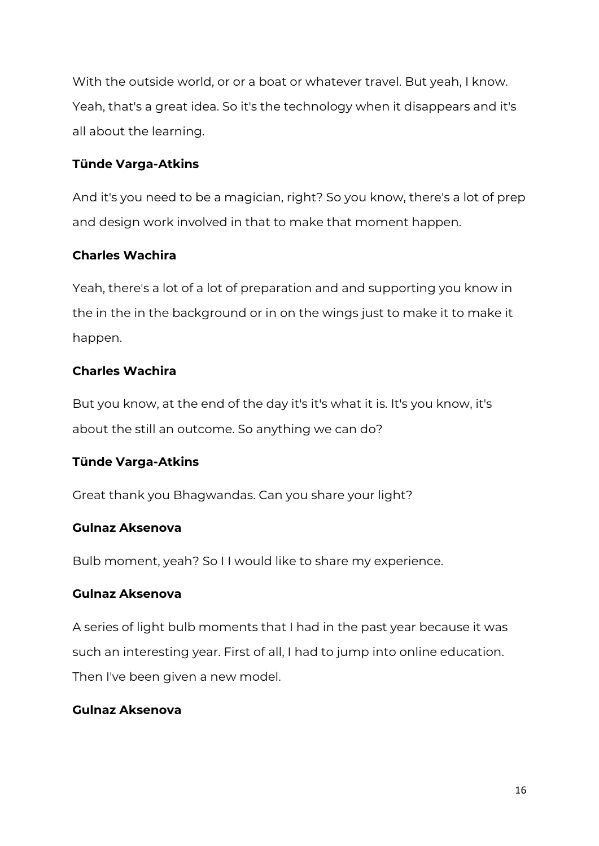With the outside world, or or a boat or whatever travel. But yeah, I know. Yeah, that's a great idea. So it's the technology when it disappears and it's all about the learning.

## **Tünde Varga-Atkins**

And it's you need to be a magician, right? So you know, there's a lot of prep and design work involved in that to make that moment happen.

# **Charles Wachira**

Yeah, there's a lot of a lot of preparation and and supporting you know in the in the in the background or in on the wings just to make it to make it happen.

# **Charles Wachira**

But you know, at the end of the day it's it's what it is. It's you know, it's about the still an outcome. So anything we can do?

# **Tünde Varga-Atkins**

Great thank you Bhagwandas. Can you share your light?

## **Gulnaz Aksenova**

Bulb moment, yeah? So I I would like to share my experience.

## **Gulnaz Aksenova**

A series of light bulb moments that I had in the past year because it was such an interesting year. First of all, I had to jump into online education. Then I've been given a new model.

## **Gulnaz Aksenova**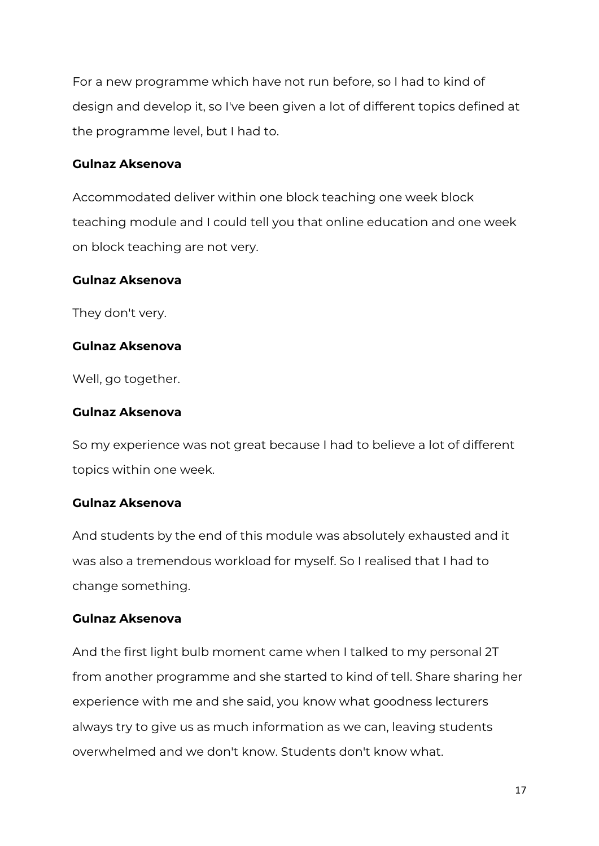For a new programme which have not run before, so I had to kind of design and develop it, so I've been given a lot of different topics defined at the programme level, but I had to.

#### **Gulnaz Aksenova**

Accommodated deliver within one block teaching one week block teaching module and I could tell you that online education and one week on block teaching are not very.

#### **Gulnaz Aksenova**

They don't very.

## **Gulnaz Aksenova**

Well, go together.

#### **Gulnaz Aksenova**

So my experience was not great because I had to believe a lot of different topics within one week.

#### **Gulnaz Aksenova**

And students by the end of this module was absolutely exhausted and it was also a tremendous workload for myself. So I realised that I had to change something.

## **Gulnaz Aksenova**

And the first light bulb moment came when I talked to my personal 2T from another programme and she started to kind of tell. Share sharing her experience with me and she said, you know what goodness lecturers always try to give us as much information as we can, leaving students overwhelmed and we don't know. Students don't know what.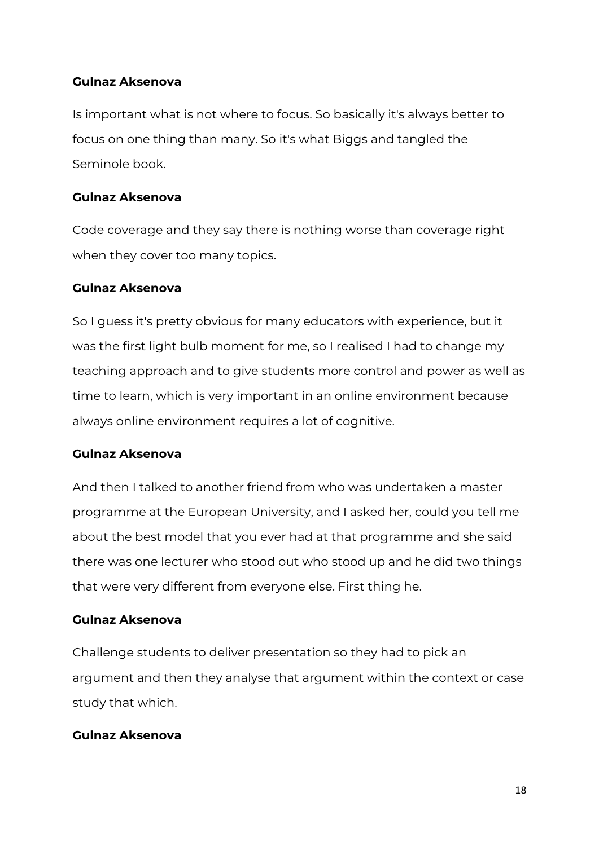## **Gulnaz Aksenova**

Is important what is not where to focus. So basically it's always better to focus on one thing than many. So it's what Biggs and tangled the Seminole book.

#### **Gulnaz Aksenova**

Code coverage and they say there is nothing worse than coverage right when they cover too many topics.

#### **Gulnaz Aksenova**

So I guess it's pretty obvious for many educators with experience, but it was the first light bulb moment for me, so I realised I had to change my teaching approach and to give students more control and power as well as time to learn, which is very important in an online environment because always online environment requires a lot of cognitive.

## **Gulnaz Aksenova**

And then I talked to another friend from who was undertaken a master programme at the European University, and I asked her, could you tell me about the best model that you ever had at that programme and she said there was one lecturer who stood out who stood up and he did two things that were very different from everyone else. First thing he.

## **Gulnaz Aksenova**

Challenge students to deliver presentation so they had to pick an argument and then they analyse that argument within the context or case study that which.

## **Gulnaz Aksenova**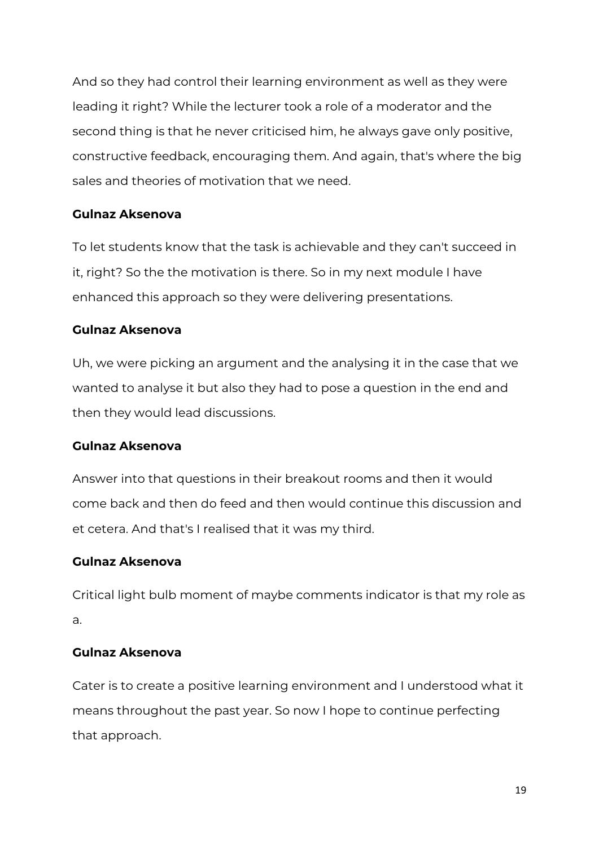And so they had control their learning environment as well as they were leading it right? While the lecturer took a role of a moderator and the second thing is that he never criticised him, he always gave only positive, constructive feedback, encouraging them. And again, that's where the big sales and theories of motivation that we need.

## **Gulnaz Aksenova**

To let students know that the task is achievable and they can't succeed in it, right? So the the motivation is there. So in my next module I have enhanced this approach so they were delivering presentations.

## **Gulnaz Aksenova**

Uh, we were picking an argument and the analysing it in the case that we wanted to analyse it but also they had to pose a question in the end and then they would lead discussions.

## **Gulnaz Aksenova**

Answer into that questions in their breakout rooms and then it would come back and then do feed and then would continue this discussion and et cetera. And that's I realised that it was my third.

# **Gulnaz Aksenova**

Critical light bulb moment of maybe comments indicator is that my role as a.

## **Gulnaz Aksenova**

Cater is to create a positive learning environment and I understood what it means throughout the past year. So now I hope to continue perfecting that approach.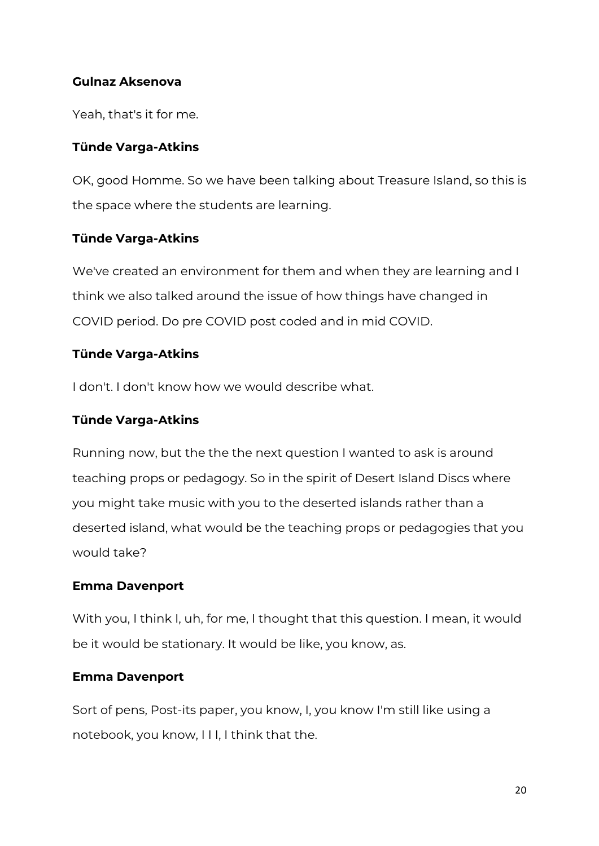## **Gulnaz Aksenova**

Yeah, that's it for me.

## **Tünde Varga-Atkins**

OK, good Homme. So we have been talking about Treasure Island, so this is the space where the students are learning.

## **Tünde Varga-Atkins**

We've created an environment for them and when they are learning and I think we also talked around the issue of how things have changed in COVID period. Do pre COVID post coded and in mid COVID.

# **Tünde Varga-Atkins**

I don't. I don't know how we would describe what.

## **Tünde Varga-Atkins**

Running now, but the the the next question I wanted to ask is around teaching props or pedagogy. So in the spirit of Desert Island Discs where you might take music with you to the deserted islands rather than a deserted island, what would be the teaching props or pedagogies that you would take?

## **Emma Davenport**

With you, I think I, uh, for me, I thought that this question. I mean, it would be it would be stationary. It would be like, you know, as.

## **Emma Davenport**

Sort of pens, Post-its paper, you know, I, you know I'm still like using a notebook, you know, I I I, I think that the.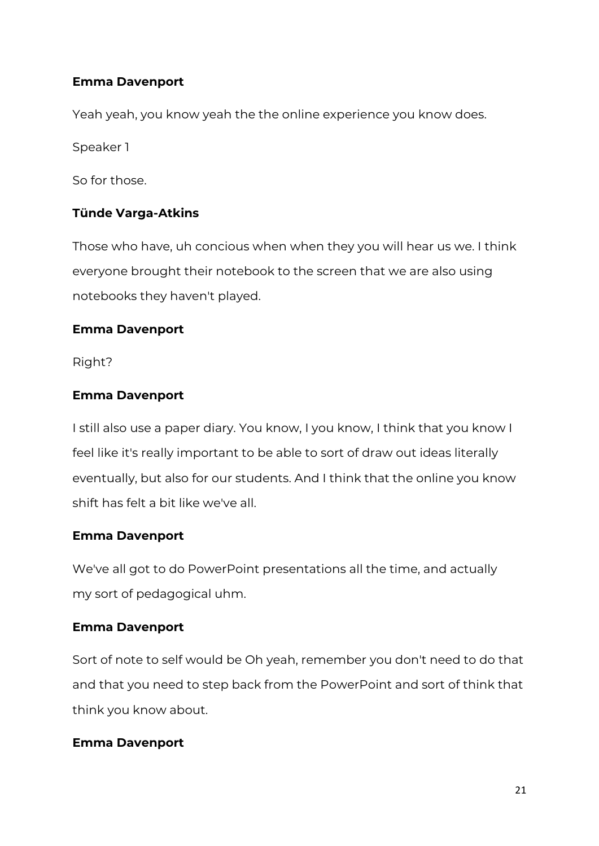## **Emma Davenport**

Yeah yeah, you know yeah the the online experience you know does.

Speaker 1

So for those.

#### **Tünde Varga-Atkins**

Those who have, uh concious when when they you will hear us we. I think everyone brought their notebook to the screen that we are also using notebooks they haven't played.

#### **Emma Davenport**

Right?

#### **Emma Davenport**

I still also use a paper diary. You know, I you know, I think that you know I feel like it's really important to be able to sort of draw out ideas literally eventually, but also for our students. And I think that the online you know shift has felt a bit like we've all.

#### **Emma Davenport**

We've all got to do PowerPoint presentations all the time, and actually my sort of pedagogical uhm.

#### **Emma Davenport**

Sort of note to self would be Oh yeah, remember you don't need to do that and that you need to step back from the PowerPoint and sort of think that think you know about.

#### **Emma Davenport**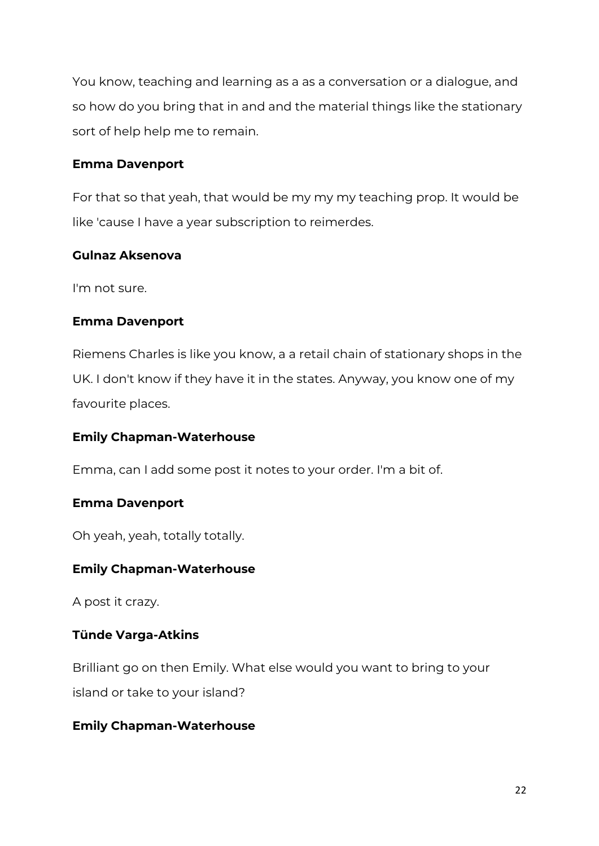You know, teaching and learning as a as a conversation or a dialogue, and so how do you bring that in and and the material things like the stationary sort of help help me to remain.

## **Emma Davenport**

For that so that yeah, that would be my my my teaching prop. It would be like 'cause I have a year subscription to reimerdes.

## **Gulnaz Aksenova**

I'm not sure.

## **Emma Davenport**

Riemens Charles is like you know, a a retail chain of stationary shops in the UK. I don't know if they have it in the states. Anyway, you know one of my favourite places.

# **Emily Chapman-Waterhouse**

Emma, can I add some post it notes to your order. I'm a bit of.

## **Emma Davenport**

Oh yeah, yeah, totally totally.

# **Emily Chapman-Waterhouse**

A post it crazy.

# **Tünde Varga-Atkins**

Brilliant go on then Emily. What else would you want to bring to your island or take to your island?

# **Emily Chapman-Waterhouse**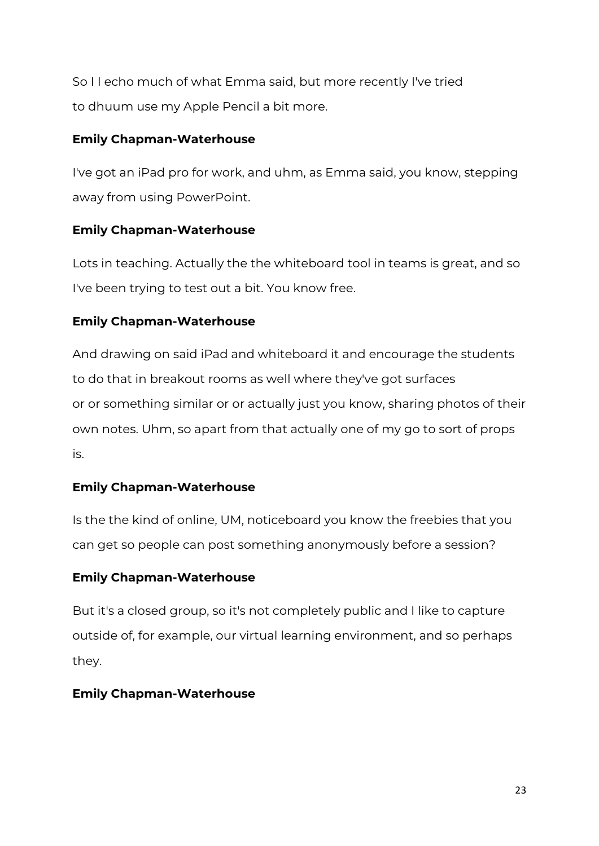So I I echo much of what Emma said, but more recently I've tried to dhuum use my Apple Pencil a bit more.

# **Emily Chapman-Waterhouse**

I've got an iPad pro for work, and uhm, as Emma said, you know, stepping away from using PowerPoint.

## **Emily Chapman-Waterhouse**

Lots in teaching. Actually the the whiteboard tool in teams is great, and so I've been trying to test out a bit. You know free.

## **Emily Chapman-Waterhouse**

And drawing on said iPad and whiteboard it and encourage the students to do that in breakout rooms as well where they've got surfaces or or something similar or or actually just you know, sharing photos of their own notes. Uhm, so apart from that actually one of my go to sort of props is.

# **Emily Chapman-Waterhouse**

Is the the kind of online, UM, noticeboard you know the freebies that you can get so people can post something anonymously before a session?

## **Emily Chapman-Waterhouse**

But it's a closed group, so it's not completely public and I like to capture outside of, for example, our virtual learning environment, and so perhaps they.

## **Emily Chapman-Waterhouse**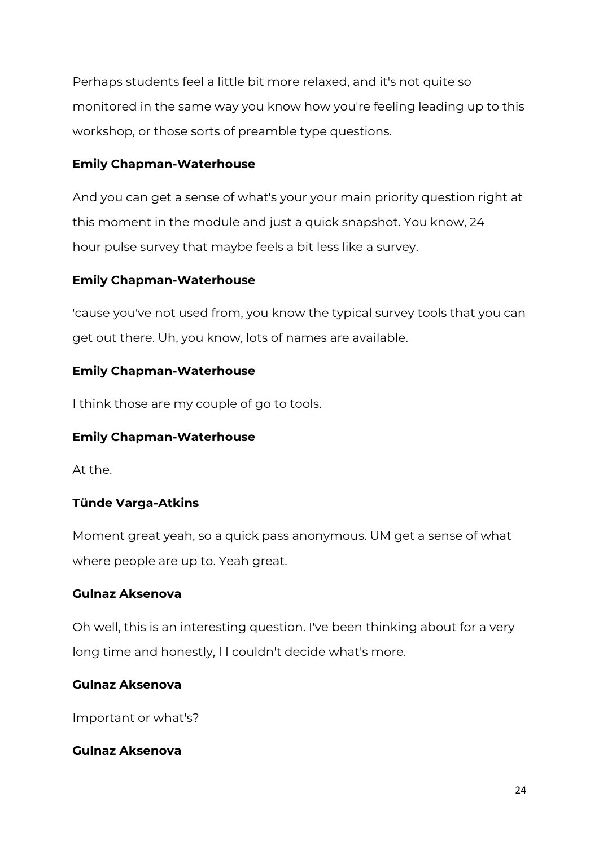Perhaps students feel a little bit more relaxed, and it's not quite so monitored in the same way you know how you're feeling leading up to this workshop, or those sorts of preamble type questions.

## **Emily Chapman-Waterhouse**

And you can get a sense of what's your your main priority question right at this moment in the module and just a quick snapshot. You know, 24 hour pulse survey that maybe feels a bit less like a survey.

# **Emily Chapman-Waterhouse**

'cause you've not used from, you know the typical survey tools that you can get out there. Uh, you know, lots of names are available.

# **Emily Chapman-Waterhouse**

I think those are my couple of go to tools.

# **Emily Chapman-Waterhouse**

At the.

# **Tünde Varga-Atkins**

Moment great yeah, so a quick pass anonymous. UM get a sense of what where people are up to. Yeah great.

# **Gulnaz Aksenova**

Oh well, this is an interesting question. I've been thinking about for a very long time and honestly, I I couldn't decide what's more.

# **Gulnaz Aksenova**

Important or what's?

# **Gulnaz Aksenova**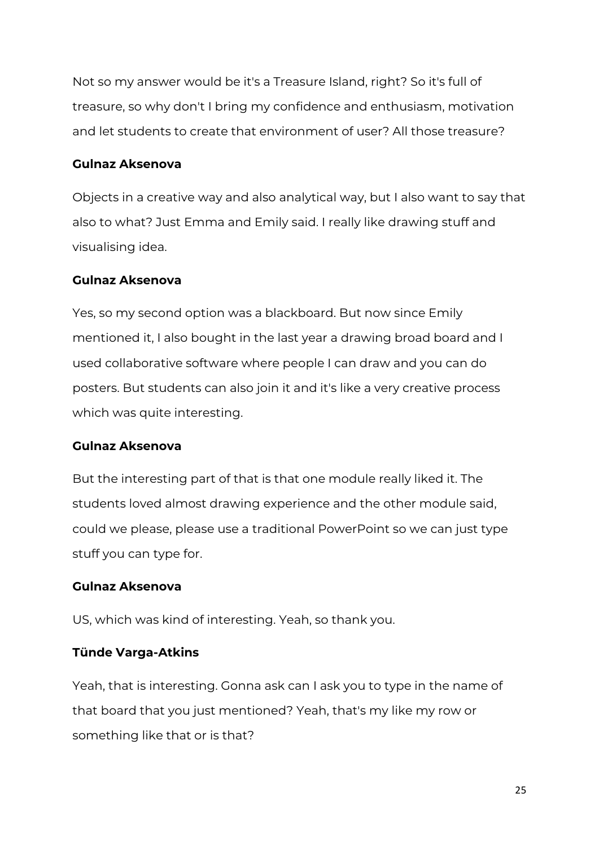Not so my answer would be it's a Treasure Island, right? So it's full of treasure, so why don't I bring my confidence and enthusiasm, motivation and let students to create that environment of user? All those treasure?

## **Gulnaz Aksenova**

Objects in a creative way and also analytical way, but I also want to say that also to what? Just Emma and Emily said. I really like drawing stuff and visualising idea.

#### **Gulnaz Aksenova**

Yes, so my second option was a blackboard. But now since Emily mentioned it, I also bought in the last year a drawing broad board and I used collaborative software where people I can draw and you can do posters. But students can also join it and it's like a very creative process which was quite interesting.

#### **Gulnaz Aksenova**

But the interesting part of that is that one module really liked it. The students loved almost drawing experience and the other module said, could we please, please use a traditional PowerPoint so we can just type stuff you can type for.

#### **Gulnaz Aksenova**

US, which was kind of interesting. Yeah, so thank you.

## **Tünde Varga-Atkins**

Yeah, that is interesting. Gonna ask can I ask you to type in the name of that board that you just mentioned? Yeah, that's my like my row or something like that or is that?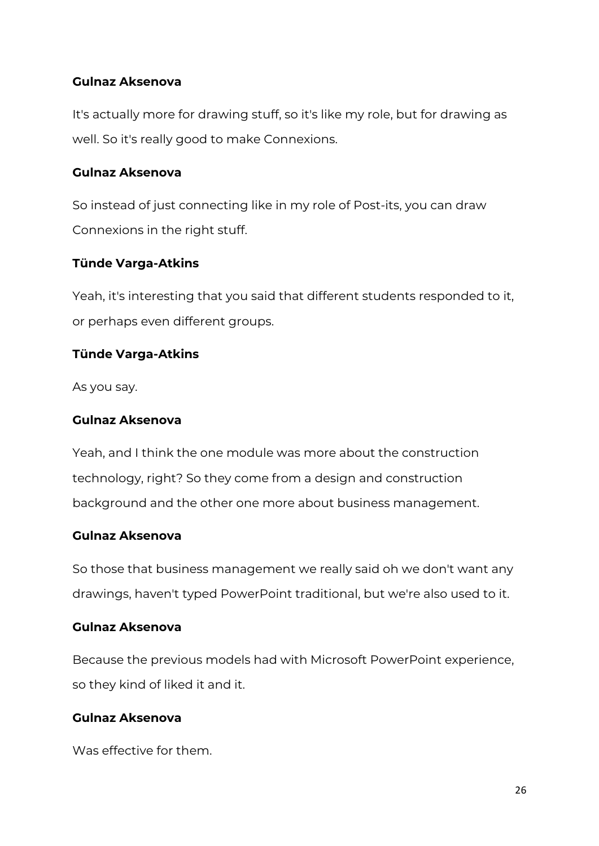# **Gulnaz Aksenova**

It's actually more for drawing stuff, so it's like my role, but for drawing as well. So it's really good to make Connexions.

## **Gulnaz Aksenova**

So instead of just connecting like in my role of Post-its, you can draw Connexions in the right stuff.

## **Tünde Varga-Atkins**

Yeah, it's interesting that you said that different students responded to it, or perhaps even different groups.

## **Tünde Varga-Atkins**

As you say.

## **Gulnaz Aksenova**

Yeah, and I think the one module was more about the construction technology, right? So they come from a design and construction background and the other one more about business management.

## **Gulnaz Aksenova**

So those that business management we really said oh we don't want any drawings, haven't typed PowerPoint traditional, but we're also used to it.

## **Gulnaz Aksenova**

Because the previous models had with Microsoft PowerPoint experience, so they kind of liked it and it.

#### **Gulnaz Aksenova**

Was effective for them.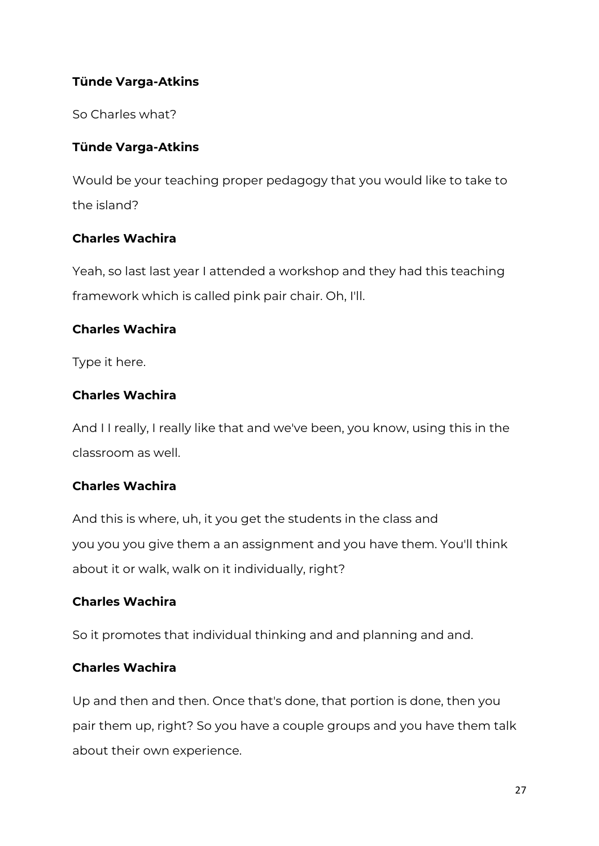# **Tünde Varga-Atkins**

So Charles what?

# **Tünde Varga-Atkins**

Would be your teaching proper pedagogy that you would like to take to the island?

# **Charles Wachira**

Yeah, so last last year I attended a workshop and they had this teaching framework which is called pink pair chair. Oh, I'll.

# **Charles Wachira**

Type it here.

# **Charles Wachira**

And I I really, I really like that and we've been, you know, using this in the classroom as well.

# **Charles Wachira**

And this is where, uh, it you get the students in the class and you you you give them a an assignment and you have them. You'll think about it or walk, walk on it individually, right?

# **Charles Wachira**

So it promotes that individual thinking and and planning and and.

# **Charles Wachira**

Up and then and then. Once that's done, that portion is done, then you pair them up, right? So you have a couple groups and you have them talk about their own experience.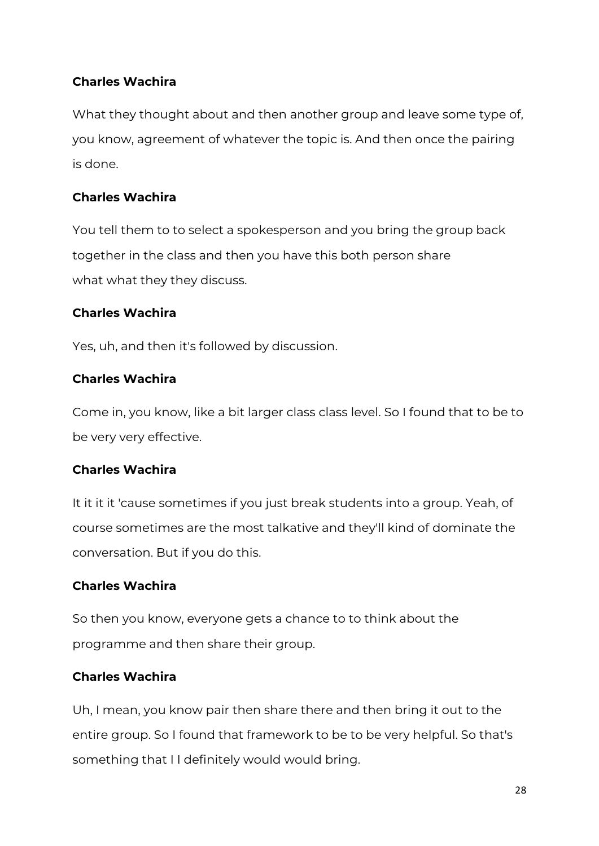# **Charles Wachira**

What they thought about and then another group and leave some type of, you know, agreement of whatever the topic is. And then once the pairing is done.

# **Charles Wachira**

You tell them to to select a spokesperson and you bring the group back together in the class and then you have this both person share what what they they discuss.

# **Charles Wachira**

Yes, uh, and then it's followed by discussion.

# **Charles Wachira**

Come in, you know, like a bit larger class class level. So I found that to be to be very very effective.

# **Charles Wachira**

It it it it 'cause sometimes if you just break students into a group. Yeah, of course sometimes are the most talkative and they'll kind of dominate the conversation. But if you do this.

# **Charles Wachira**

So then you know, everyone gets a chance to to think about the programme and then share their group.

# **Charles Wachira**

Uh, I mean, you know pair then share there and then bring it out to the entire group. So I found that framework to be to be very helpful. So that's something that I I definitely would would bring.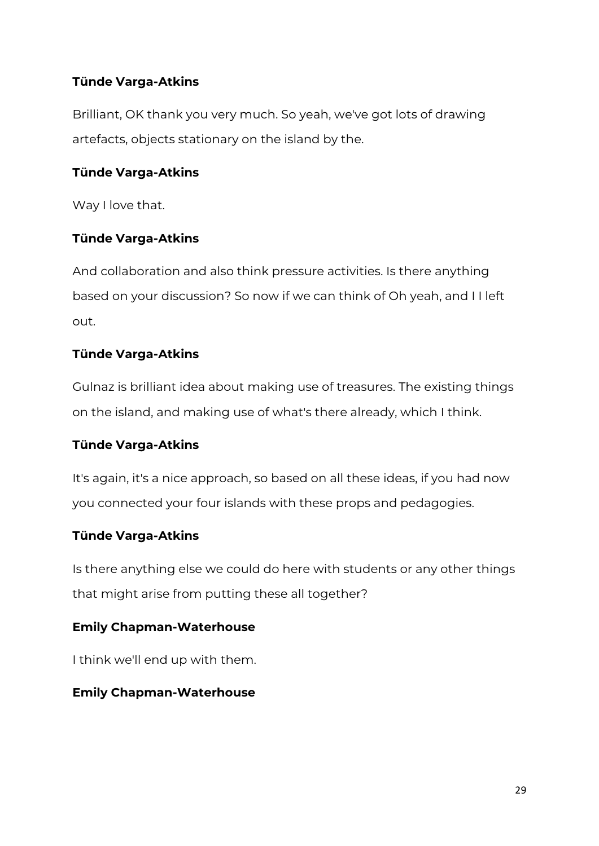# **Tünde Varga-Atkins**

Brilliant, OK thank you very much. So yeah, we've got lots of drawing artefacts, objects stationary on the island by the.

# **Tünde Varga-Atkins**

Way I love that.

## **Tünde Varga-Atkins**

And collaboration and also think pressure activities. Is there anything based on your discussion? So now if we can think of Oh yeah, and I I left out.

## **Tünde Varga-Atkins**

Gulnaz is brilliant idea about making use of treasures. The existing things on the island, and making use of what's there already, which I think.

## **Tünde Varga-Atkins**

It's again, it's a nice approach, so based on all these ideas, if you had now you connected your four islands with these props and pedagogies.

## **Tünde Varga-Atkins**

Is there anything else we could do here with students or any other things that might arise from putting these all together?

## **Emily Chapman-Waterhouse**

I think we'll end up with them.

## **Emily Chapman-Waterhouse**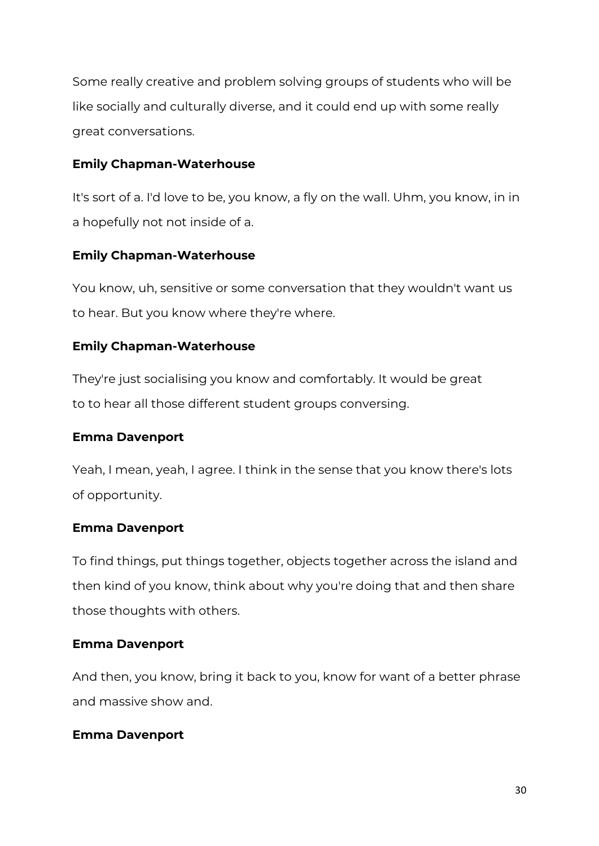Some really creative and problem solving groups of students who will be like socially and culturally diverse, and it could end up with some really great conversations.

## **Emily Chapman-Waterhouse**

It's sort of a. I'd love to be, you know, a fly on the wall. Uhm, you know, in in a hopefully not not inside of a.

# **Emily Chapman-Waterhouse**

You know, uh, sensitive or some conversation that they wouldn't want us to hear. But you know where they're where.

# **Emily Chapman-Waterhouse**

They're just socialising you know and comfortably. It would be great to to hear all those different student groups conversing.

# **Emma Davenport**

Yeah, I mean, yeah, I agree. I think in the sense that you know there's lots of opportunity.

## **Emma Davenport**

To find things, put things together, objects together across the island and then kind of you know, think about why you're doing that and then share those thoughts with others.

## **Emma Davenport**

And then, you know, bring it back to you, know for want of a better phrase and massive show and.

# **Emma Davenport**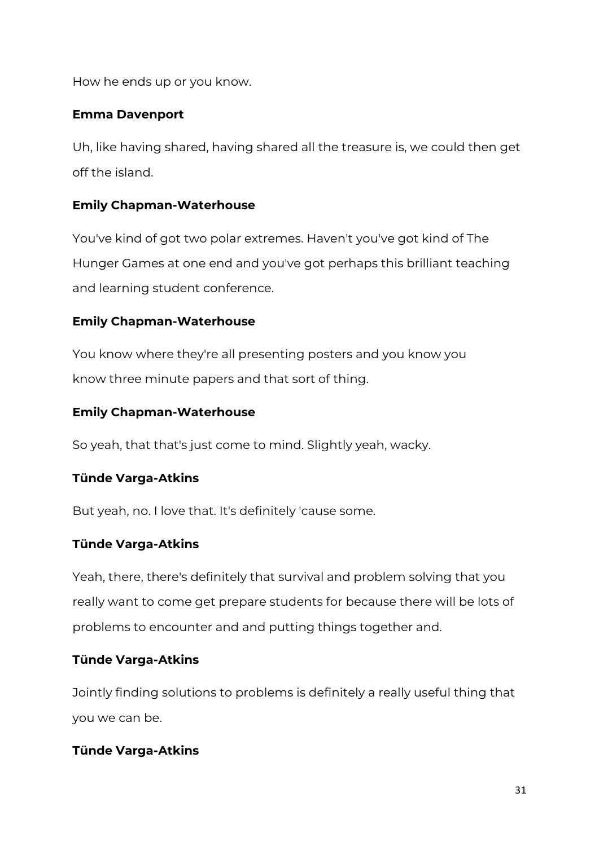How he ends up or you know.

## **Emma Davenport**

Uh, like having shared, having shared all the treasure is, we could then get off the island.

## **Emily Chapman-Waterhouse**

You've kind of got two polar extremes. Haven't you've got kind of The Hunger Games at one end and you've got perhaps this brilliant teaching and learning student conference.

## **Emily Chapman-Waterhouse**

You know where they're all presenting posters and you know you know three minute papers and that sort of thing.

## **Emily Chapman-Waterhouse**

So yeah, that that's just come to mind. Slightly yeah, wacky.

# **Tünde Varga-Atkins**

But yeah, no. I love that. It's definitely 'cause some.

# **Tünde Varga-Atkins**

Yeah, there, there's definitely that survival and problem solving that you really want to come get prepare students for because there will be lots of problems to encounter and and putting things together and.

## **Tünde Varga-Atkins**

Jointly finding solutions to problems is definitely a really useful thing that you we can be.

# **Tünde Varga-Atkins**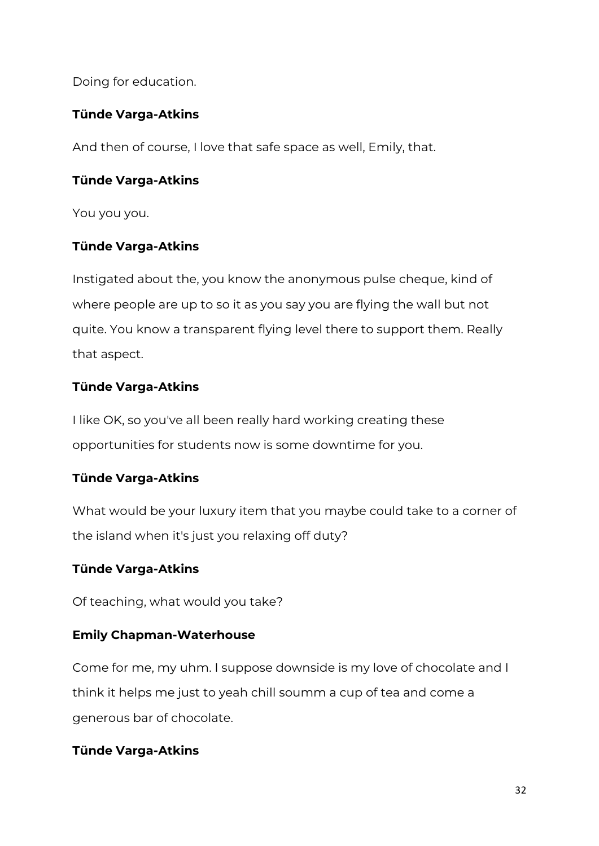Doing for education.

# **Tünde Varga-Atkins**

And then of course, I love that safe space as well, Emily, that.

## **Tünde Varga-Atkins**

You you you.

## **Tünde Varga-Atkins**

Instigated about the, you know the anonymous pulse cheque, kind of where people are up to so it as you say you are flying the wall but not quite. You know a transparent flying level there to support them. Really that aspect.

# **Tünde Varga-Atkins**

I like OK, so you've all been really hard working creating these opportunities for students now is some downtime for you.

# **Tünde Varga-Atkins**

What would be your luxury item that you maybe could take to a corner of the island when it's just you relaxing off duty?

## **Tünde Varga-Atkins**

Of teaching, what would you take?

# **Emily Chapman-Waterhouse**

Come for me, my uhm. I suppose downside is my love of chocolate and I think it helps me just to yeah chill soumm a cup of tea and come a generous bar of chocolate.

## **Tünde Varga-Atkins**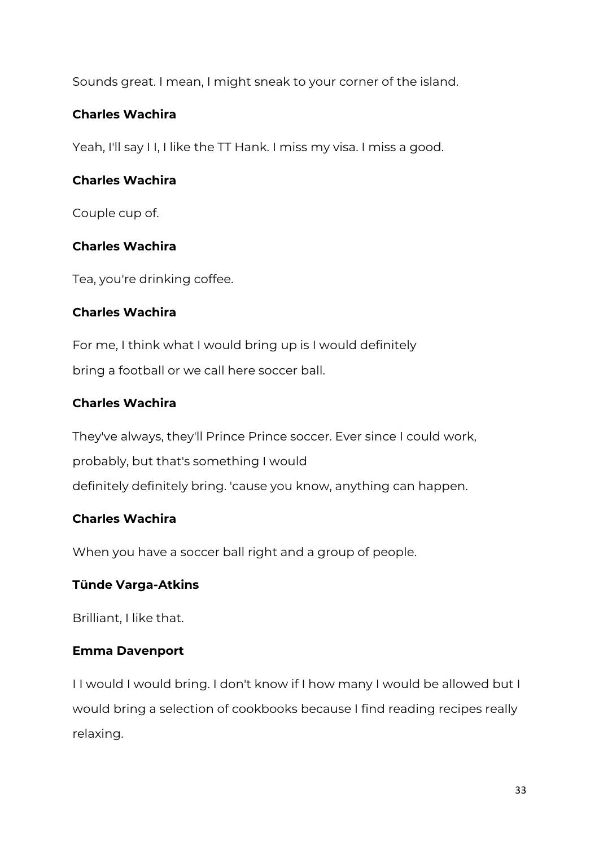Sounds great. I mean, I might sneak to your corner of the island.

# **Charles Wachira**

Yeah, I'll say I I, I like the TT Hank. I miss my visa. I miss a good.

# **Charles Wachira**

Couple cup of.

# **Charles Wachira**

Tea, you're drinking coffee.

# **Charles Wachira**

For me, I think what I would bring up is I would definitely bring a football or we call here soccer ball.

# **Charles Wachira**

They've always, they'll Prince Prince soccer. Ever since I could work, probably, but that's something I would definitely definitely bring. 'cause you know, anything can happen.

# **Charles Wachira**

When you have a soccer ball right and a group of people.

# **Tünde Varga-Atkins**

Brilliant, I like that.

# **Emma Davenport**

I I would I would bring. I don't know if I how many I would be allowed but I would bring a selection of cookbooks because I find reading recipes really relaxing.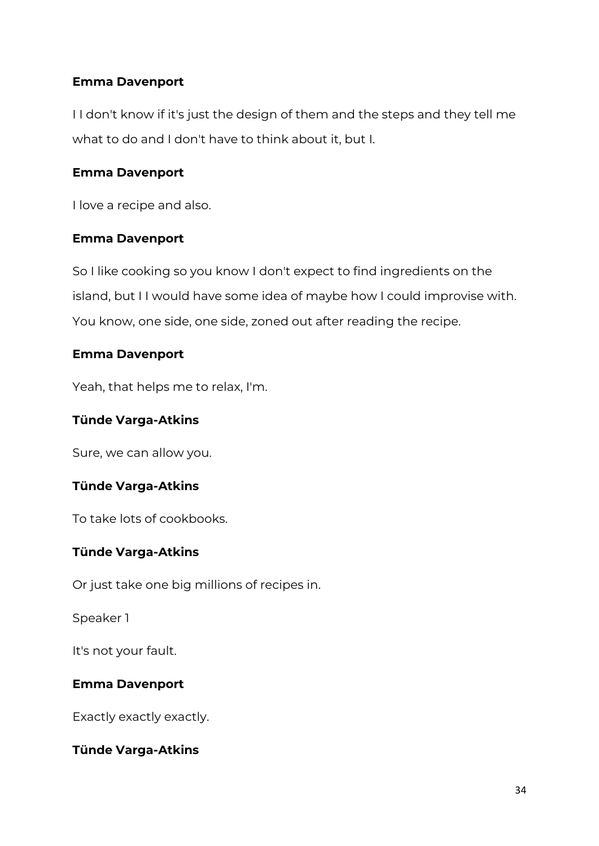## **Emma Davenport**

I I don't know if it's just the design of them and the steps and they tell me what to do and I don't have to think about it, but I.

## **Emma Davenport**

I love a recipe and also.

#### **Emma Davenport**

So I like cooking so you know I don't expect to find ingredients on the island, but I I would have some idea of maybe how I could improvise with. You know, one side, one side, zoned out after reading the recipe.

#### **Emma Davenport**

Yeah, that helps me to relax, I'm.

## **Tünde Varga-Atkins**

Sure, we can allow you.

## **Tünde Varga-Atkins**

To take lots of cookbooks.

## **Tünde Varga-Atkins**

Or just take one big millions of recipes in.

Speaker 1

It's not your fault.

## **Emma Davenport**

Exactly exactly exactly.

## **Tünde Varga-Atkins**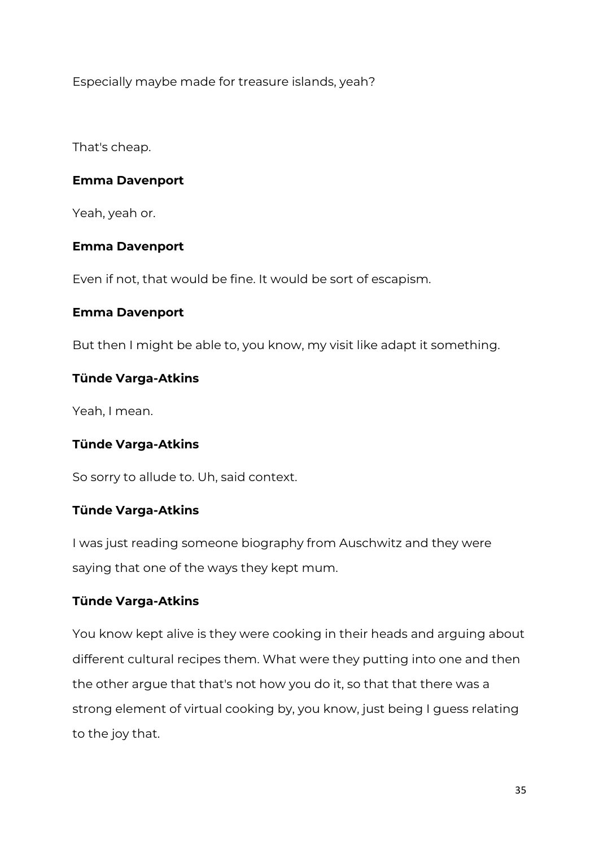Especially maybe made for treasure islands, yeah?

That's cheap.

## **Emma Davenport**

Yeah, yeah or.

## **Emma Davenport**

Even if not, that would be fine. It would be sort of escapism.

#### **Emma Davenport**

But then I might be able to, you know, my visit like adapt it something.

## **Tünde Varga-Atkins**

Yeah, I mean.

## **Tünde Varga-Atkins**

So sorry to allude to. Uh, said context.

## **Tünde Varga-Atkins**

I was just reading someone biography from Auschwitz and they were saying that one of the ways they kept mum.

## **Tünde Varga-Atkins**

You know kept alive is they were cooking in their heads and arguing about different cultural recipes them. What were they putting into one and then the other argue that that's not how you do it, so that that there was a strong element of virtual cooking by, you know, just being I guess relating to the joy that.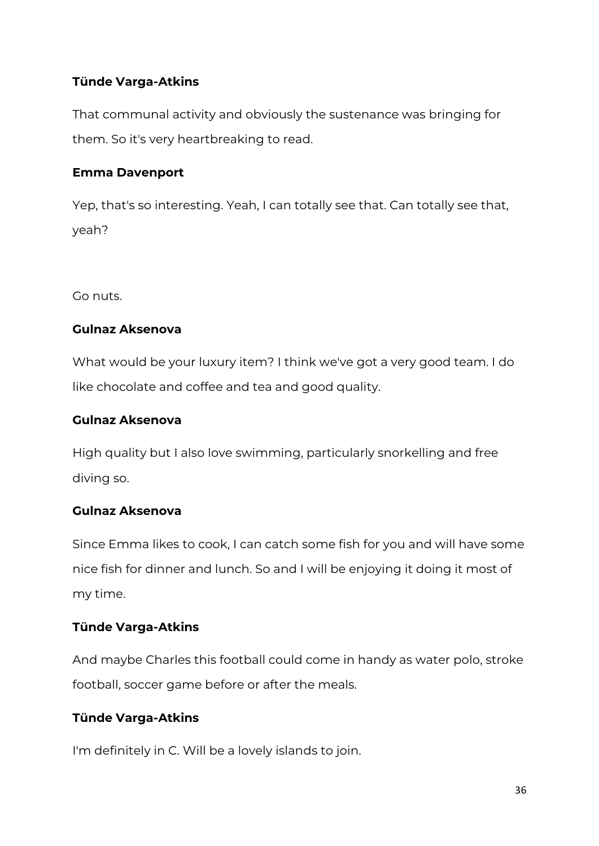# **Tünde Varga-Atkins**

That communal activity and obviously the sustenance was bringing for them. So it's very heartbreaking to read.

## **Emma Davenport**

Yep, that's so interesting. Yeah, I can totally see that. Can totally see that, yeah?

Go nuts.

## **Gulnaz Aksenova**

What would be your luxury item? I think we've got a very good team. I do like chocolate and coffee and tea and good quality.

## **Gulnaz Aksenova**

High quality but I also love swimming, particularly snorkelling and free diving so.

# **Gulnaz Aksenova**

Since Emma likes to cook, I can catch some fish for you and will have some nice fish for dinner and lunch. So and I will be enjoying it doing it most of my time.

# **Tünde Varga-Atkins**

And maybe Charles this football could come in handy as water polo, stroke football, soccer game before or after the meals.

# **Tünde Varga-Atkins**

I'm definitely in C. Will be a lovely islands to join.